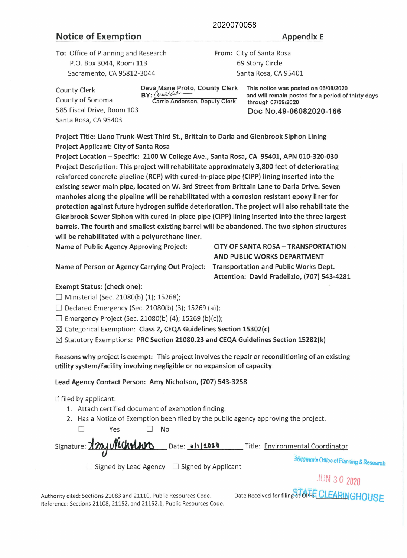#### 2020070058

# Notice of Exemption Appendix E

585 Fiscal Drive, Room 103 Santa Rosa, CA 95403

County Clerk County of Sonoma

To: Office of Planning and Research P.O. Box 3044, Room 113 Sacramento, CA 95812-3044

From: City of Santa Rosa 69 Stony Circle Santa Rosa, CA 95401

> This notice was posted on 06/08/2020 and will remain posted for a period of thirty days through 07/09/2020 Doc No.49-06082020-166

Project Title: Llano Trunk-West Third St., Brittain to Darla and Glenbrook Siphon Lining Project Applicant: City of Santa Rosa

Deva Marie Proto, County Clerk

Carrie Anderson, Deputy Clerk

BY: Carrioty ander

Project Location - Specific: 2100 W College Ave., Santa Rosa, CA 95401, APN 010-320-030 Project Description: This project will rehabilitate approximately 3,800 feet of deteriorating reinforced concrete pipeline (RCP) with cured-in-place pipe (CIPP) lining inserted into the existing sewer main pipe, located on W. 3rd Street from Brittain Lane to Darla Drive. Seven manholes along the pipeline will be rehabilitated with a corrosion resistant epoxy liner for protection against future hydrogen sulfide deterioration. The project will also rehabilitate the Glenbrook Sewer Siphon with cured-in-place pipe (CIPP) lining inserted into the three largest barrels. The fourth and smallest existing barrel will be abandoned. The two siphon structures will be rehabilitated with a polyurethane liner.

Name of Public Agency Approving Project: CITY OF SANTA ROSA-TRANSPORTATION

Name of Person or Agency Carrying Out Project: Transportation and Public Works Dept.

AND PUBLIC **WORKS** DEPARTMENT Attention: David Fradelizio, (707) 543-4281

# Exempt Status: (check one):

 $\Box$  Ministerial (Sec. 21080(b) (1); 15268);

 $\Box$  Declared Emergency (Sec. 21080(b) (3); 15269 (a));

 $\Box$  Emergency Project (Sec. 21080(b) (4); 15269 (b)(c));

 $\boxtimes$  Categorical Exemption: Class 2, CEQA Guidelines Section 15302(c)

 $\boxtimes$  Statutory Exemptions: PRC Section 21080.23 and CEQA Guidelines Section 15282(k)

Reasons why project is exempt: This project involves the repair or reconditioning of an existing: utility system/facility involving negligible or no expansion of capacity.

## Lead Agency Contact Person: Amy Nicholson, (707) 543-3258

If filed by applicant:

- 1. Attach certified document of exemption finding.
- 2. Has a Notice of Exemption been filed by the public agency approving the project.

□ Yes □ No

| Signature: Xm/ Necholors Date: 6/1/2020 | Title: Environmental Coordinator                    |
|-----------------------------------------|-----------------------------------------------------|
|                                         | <b>36Vernor's Office of Planning &amp; Research</b> |

□ Signed by Lead Agency □ Signed by Applicant

*.tUN* 3 0 2020

Authority cited: Sections 21083 and 21110, Public Resources Code. Reference: Sections 21108, 21152, and 21152 .1, Public Resources Code. Date Received for filing at OPRE CLEARINGHOUSE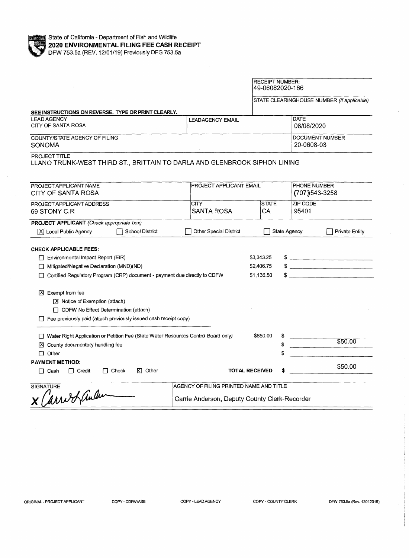

 $\hat{\mathcal{A}}$ 

|                                                                                                                                                                                                     |                                                                                          | <b>RECEIPT NUMBER:</b><br>49-06082020-166 |                                      |                                           |                                            |
|-----------------------------------------------------------------------------------------------------------------------------------------------------------------------------------------------------|------------------------------------------------------------------------------------------|-------------------------------------------|--------------------------------------|-------------------------------------------|--------------------------------------------|
|                                                                                                                                                                                                     |                                                                                          |                                           |                                      |                                           | STATE CLEARINGHOUSE NUMBER (If applicable) |
| SEE INSTRUCTIONS ON REVERSE. TYPE OR PRINT CLEARLY.                                                                                                                                                 |                                                                                          |                                           |                                      |                                           |                                            |
| <b>LEAD AGENCY</b><br>CITY OF SANTA ROSA                                                                                                                                                            | <b>LEADAGENCY EMAIL</b>                                                                  | <b>DATE</b><br>06/08/2020                 |                                      |                                           |                                            |
| COUNTY/STATE AGENCY OF FILING<br>SONOMA                                                                                                                                                             |                                                                                          |                                           | <b>DOCUMENT NUMBER</b><br>20-0608-03 |                                           |                                            |
| PROJECT TITLE<br>LLANO TRUNK-WEST THIRD ST., BRITTAIN TO DARLA AND GLENBROOK SIPHON LINING                                                                                                          |                                                                                          |                                           |                                      |                                           |                                            |
| PROJECT APPLICANT NAME<br>CITY OF SANTA ROSA                                                                                                                                                        | <b>PROJECT APPLICANT EMAIL</b>                                                           |                                           |                                      | <b>PHONE NUMBER</b><br>$(707)$ $543-3258$ |                                            |
| PROJECT APPLICANT ADDRESS<br>69 STONY CIR                                                                                                                                                           | <b>CITY</b><br>SANTA ROSA                                                                | <b>STATE</b><br>CA                        |                                      | ZIP CODE<br>95401                         |                                            |
| <b>PROJECT APPLICANT</b> (Check appropriate box)<br>School District<br>X   Local Public Agency                                                                                                      | Other Special District                                                                   |                                           | <b>State Agency</b>                  |                                           | <b>Private Entity</b>                      |
| <b>CHECK APPLICABLE FEES:</b><br>$\Box$ Environmental Impact Report (EIR)<br>Mitigated/Negative Declaration (MND)(ND)<br>Certified Regulatory Program (CRP) document - payment due directly to CDFW |                                                                                          | \$3,343.25<br>\$2,406.75<br>\$1,136.50    |                                      |                                           | $\frac{1}{2}$<br>$\qquad \qquad \bullet$   |
| $[3]$ Exempt from fee<br>$X$ Notice of Exemption (attach)<br>$\Box$ CDFW No Effect Determination (attach)<br>$\Box$ Fee previously paid (attach previously issued cash receipt copy)                |                                                                                          |                                           |                                      |                                           |                                            |
| □ Water Right Application or Petition Fee (State Water Resources Control Board only)<br>X County documentary handling fee<br>$\Box$ Other                                                           |                                                                                          |                                           | \$<br>\$                             |                                           | \$50.00                                    |
| <b>PAYMENT METHOD:</b><br>$\Box$ Check<br>$\boxtimes$ Other<br>$\Box$ Credit<br>Π Cash                                                                                                              |                                                                                          | <b>TOTAL RECEIVED</b>                     |                                      |                                           | \$50.00                                    |
| <b>SIGNATURE</b><br>X Carriot ander                                                                                                                                                                 | AGENCY OF FILING PRINTED NAME AND TITLE<br>Carrie Anderson, Deputy County Clerk-Recorder |                                           |                                      |                                           |                                            |

 $\sim$ 

 $\label{eq:2.1} \begin{split} \mathcal{L}_{\text{max}}(\mathcal{L}_{\text{max}}) = \mathcal{L}_{\text{max}}(\mathcal{L}_{\text{max}}) \end{split}$